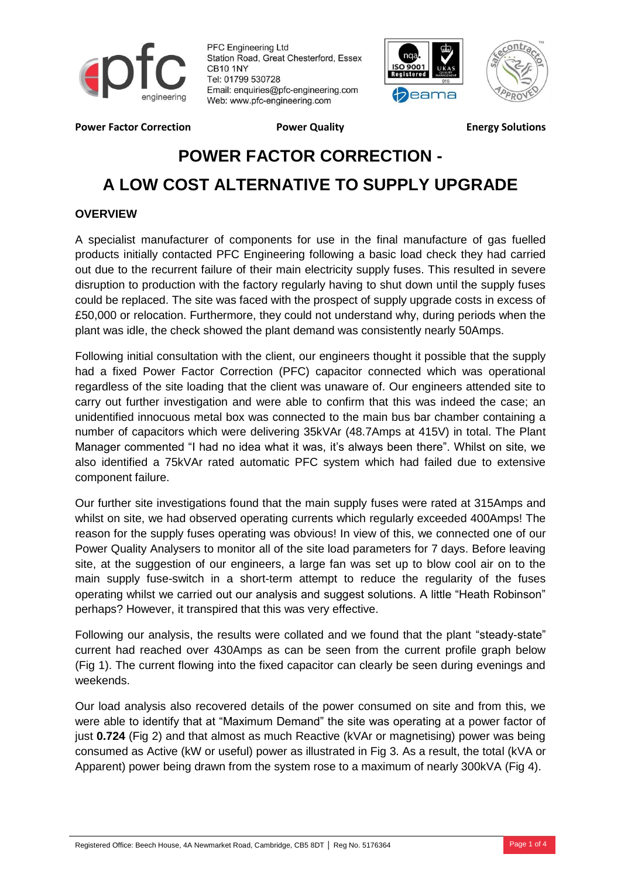

PFC Engineering Ltd Station Road, Great Chesterford, Essex **CB10 1NY** Tel: 01799 530728 Email: enquiries@pfc-engineering.com Web: www.pfc-engineering.com





**Power Factor Correction Factor Constraint Power Quality Factor Energy Solutions** 

# **POWER FACTOR CORRECTION - A LOW COST ALTERNATIVE TO SUPPLY UPGRADE**

# **OVERVIEW**

A specialist manufacturer of components for use in the final manufacture of gas fuelled products initially contacted PFC Engineering following a basic load check they had carried out due to the recurrent failure of their main electricity supply fuses. This resulted in severe disruption to production with the factory regularly having to shut down until the supply fuses could be replaced. The site was faced with the prospect of supply upgrade costs in excess of £50,000 or relocation. Furthermore, they could not understand why, during periods when the plant was idle, the check showed the plant demand was consistently nearly 50Amps.

Following initial consultation with the client, our engineers thought it possible that the supply had a fixed Power Factor Correction (PFC) capacitor connected which was operational regardless of the site loading that the client was unaware of. Our engineers attended site to carry out further investigation and were able to confirm that this was indeed the case; an unidentified innocuous metal box was connected to the main bus bar chamber containing a number of capacitors which were delivering 35kVAr (48.7Amps at 415V) in total. The Plant Manager commented "I had no idea what it was, it's always been there". Whilst on site, we also identified a 75kVAr rated automatic PFC system which had failed due to extensive component failure.

Our further site investigations found that the main supply fuses were rated at 315Amps and whilst on site, we had observed operating currents which regularly exceeded 400Amps! The reason for the supply fuses operating was obvious! In view of this, we connected one of our Power Quality Analysers to monitor all of the site load parameters for 7 days. Before leaving site, at the suggestion of our engineers, a large fan was set up to blow cool air on to the main supply fuse-switch in a short-term attempt to reduce the regularity of the fuses operating whilst we carried out our analysis and suggest solutions. A little "Heath Robinson" perhaps? However, it transpired that this was very effective.

Following our analysis, the results were collated and we found that the plant "steady-state" current had reached over 430Amps as can be seen from the current profile graph below (Fig 1). The current flowing into the fixed capacitor can clearly be seen during evenings and weekends.

Our load analysis also recovered details of the power consumed on site and from this, we were able to identify that at "Maximum Demand" the site was operating at a power factor of just **0.724** (Fig 2) and that almost as much Reactive (kVAr or magnetising) power was being consumed as Active (kW or useful) power as illustrated in Fig 3. As a result, the total (kVA or Apparent) power being drawn from the system rose to a maximum of nearly 300kVA (Fig 4).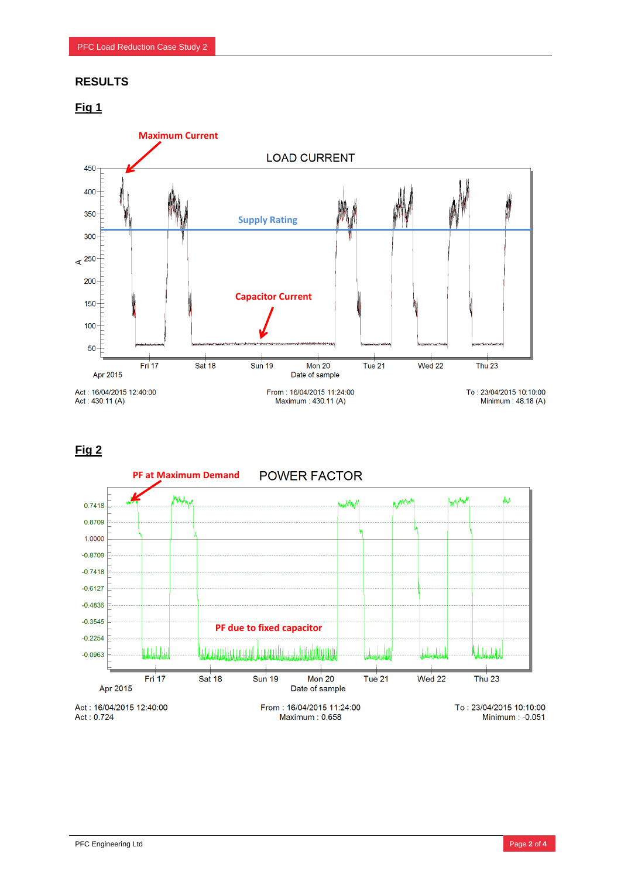## **RESULTS**





## **Fig 2**

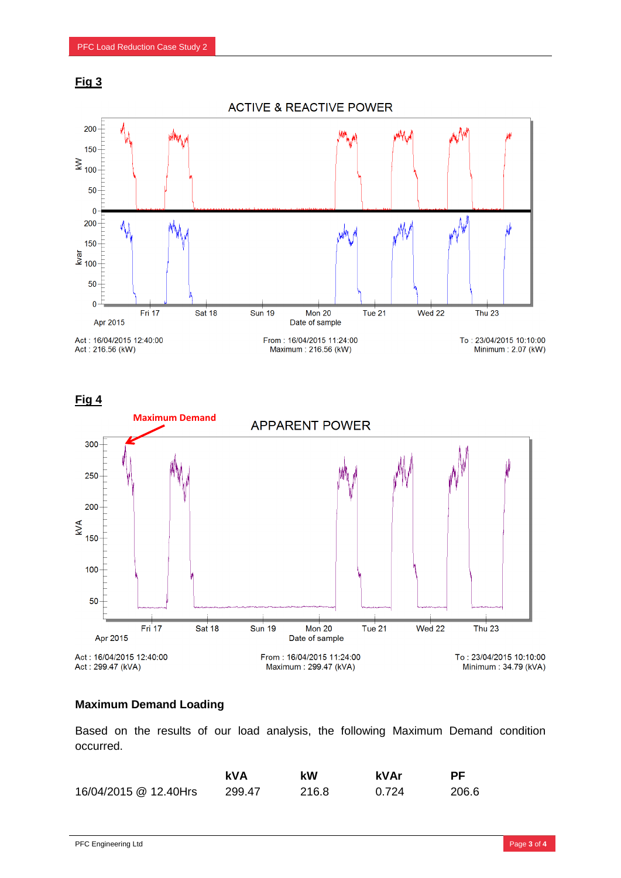

**ACTIVE & REACTIVE POWER** 



**Fig 4**



### **Maximum Demand Loading**

Based on the results of our load analysis, the following Maximum Demand condition occurred.

|                       | kVA    | kW    | kVAr  | РF    |
|-----------------------|--------|-------|-------|-------|
| 16/04/2015 @ 12.40Hrs | 299.47 | 216.8 | 0.724 | 206.6 |